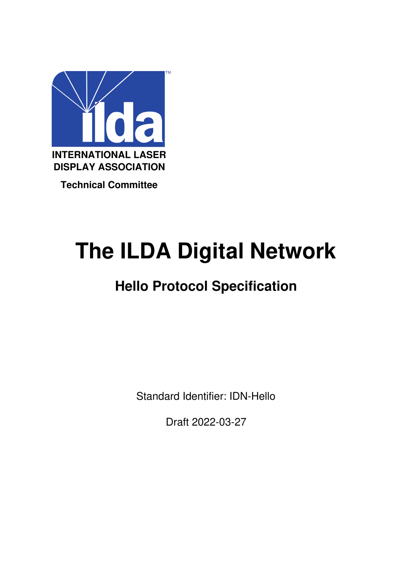

**Technical Committee**

# **The ILDA Digital Network**

# **Hello Protocol Specification**

Standard Identifier: IDN-Hello

Draft 2022-03-27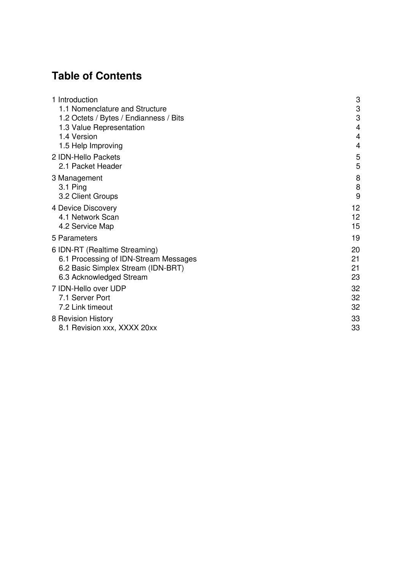# **Table of Contents**

| 1 Introduction                         | 3  |
|----------------------------------------|----|
| 1.1 Nomenclature and Structure         | 3  |
| 1.2 Octets / Bytes / Endianness / Bits | 3  |
| 1.3 Value Representation               | 4  |
| 1.4 Version                            | 4  |
| 1.5 Help Improving                     | 4  |
| 2 IDN-Hello Packets                    | 5  |
| 2.1 Packet Header                      | 5  |
| 3 Management                           | 8  |
| $3.1$ Ping                             | 8  |
| 3.2 Client Groups                      | 9  |
| 4 Device Discovery                     | 12 |
| 4.1 Network Scan                       | 12 |
| 4.2 Service Map                        | 15 |
| 5 Parameters                           | 19 |
| 6 IDN-RT (Realtime Streaming)          | 20 |
| 6.1 Processing of IDN-Stream Messages  | 21 |
| 6.2 Basic Simplex Stream (IDN-BRT)     | 21 |
| 6.3 Acknowledged Stream                | 23 |
| 7 IDN-Hello over UDP                   | 32 |
| 7.1 Server Port                        | 32 |
| 7.2 Link timeout                       | 32 |
| 8 Revision History                     | 33 |
| 8.1 Revision xxx, XXXX 20xx            | 33 |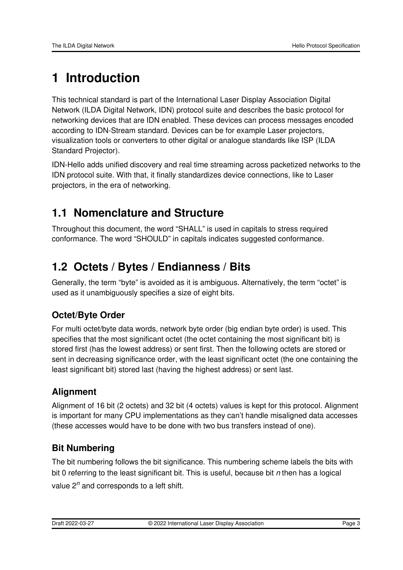# <span id="page-2-0"></span>**1 Introduction**

This technical standard is part of the International Laser Display Association Digital Network (ILDA Digital Network, IDN) protocol suite and describes the basic protocol for networking devices that are IDN enabled. These devices can process messages encoded according to IDN-Stream standard. Devices can be for example Laser projectors, visualization tools or converters to other digital or analogue standards like ISP (ILDA Standard Projector).

IDN-Hello adds unified discovery and real time streaming across packetized networks to the IDN protocol suite. With that, it finally standardizes device connections, like to Laser projectors, in the era of networking.

# <span id="page-2-1"></span>**1.1 Nomenclature and Structure**

Throughout this document, the word "SHALL" is used in capitals to stress required conformance. The word "SHOULD" in capitals indicates suggested conformance.

# <span id="page-2-2"></span>**1.2 Octets / Bytes / Endianness / Bits**

Generally, the term "byte" is avoided as it is ambiguous. Alternatively, the term "octet" is used as it unambiguously specifies a size of eight bits.

# **Octet/Byte Order**

For multi octet/byte data words, network byte order (big endian byte order) is used. This specifies that the most significant octet (the octet containing the most significant bit) is stored first (has the lowest address) or sent first. Then the following octets are stored or sent in decreasing significance order, with the least significant octet (the one containing the least significant bit) stored last (having the highest address) or sent last.

# **Alignment**

Alignment of 16 bit (2 octets) and 32 bit (4 octets) values is kept for this protocol. Alignment is important for many CPU implementations as they can't handle misaligned data accesses (these accesses would have to be done with two bus transfers instead of one).

# **Bit Numbering**

The bit numbering follows the bit significance. This numbering scheme labels the bits with bit 0 referring to the least significant bit. This is useful, because bit *n* then has a logical value 2 *<sup>n</sup>* and corresponds to a left shift.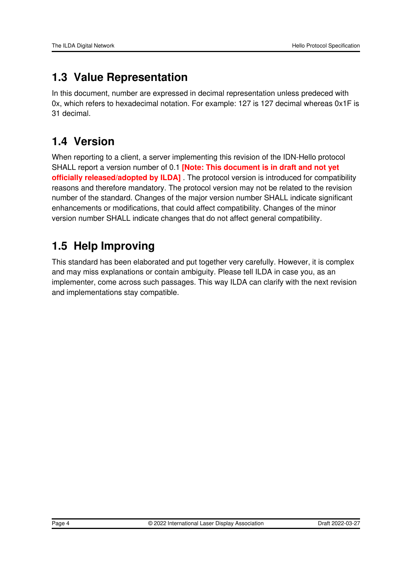# <span id="page-3-0"></span>**1.3 Value Representation**

In this document, number are expressed in decimal representation unless predeced with 0x, which refers to hexadecimal notation. For example: 127 is 127 decimal whereas 0x1F is 31 decimal.

# <span id="page-3-1"></span>**1.4 Version**

When reporting to a client, a server implementing this revision of the IDN-Hello protocol SHALL report a version number of 0.1 **[Note: This document is in draft and not yet officially released/adopted by ILDA]** . The protocol version is introduced for compatibility reasons and therefore mandatory. The protocol version may not be related to the revision number of the standard. Changes of the major version number SHALL indicate significant enhancements or modifications, that could affect compatibility. Changes of the minor version number SHALL indicate changes that do not affect general compatibility.

# <span id="page-3-2"></span>**1.5 Help Improving**

This standard has been elaborated and put together very carefully. However, it is complex and may miss explanations or contain ambiguity. Please tell ILDA in case you, as an implementer, come across such passages. This way ILDA can clarify with the next revision and implementations stay compatible.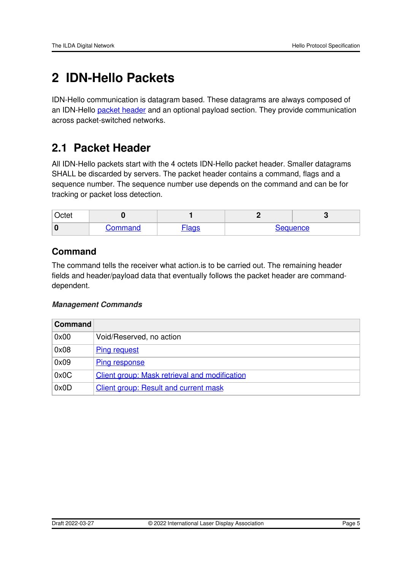# <span id="page-4-0"></span>**2 IDN-Hello Packets**

IDN-Hello communication is datagram based. These datagrams are always composed of an IDN-Hello packet [header](#page-4-1) and an optional payload section. They provide communication across packet-switched networks.

# <span id="page-4-1"></span>**2.1 Packet Header**

All IDN-Hello packets start with the 4 octets IDN-Hello packet header. Smaller datagrams SHALL be discarded by servers. The packet header contains a command, flags and a sequence number. The sequence number use depends on the command and can be for tracking or packet loss detection.

| Octet |         |      |          |  |
|-------|---------|------|----------|--|
|       | `ommand | سيست | Seauence |  |

### <span id="page-4-2"></span>**Command**

The command tells the receiver what action.is to be carried out. The remaining header fields and header/payload data that eventually follows the packet header are commanddependent.

#### *Management Commands*

| <b>Command</b> |                                               |
|----------------|-----------------------------------------------|
| 0x00           | Void/Reserved, no action                      |
| 0x08           | <b>Ping request</b>                           |
| 0x09           | <b>Ping response</b>                          |
| 0x0C           | Client group: Mask retrieval and modification |
| 0x0D           | <b>Client group: Result and current mask</b>  |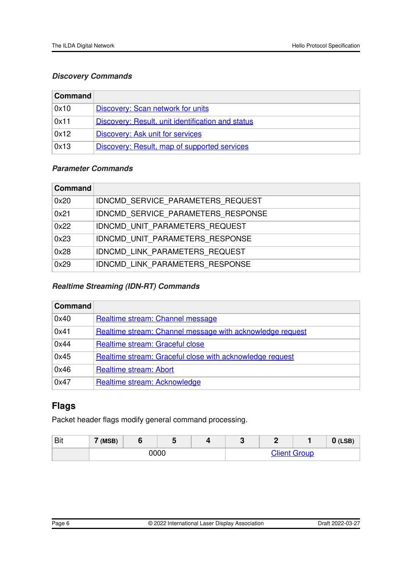#### *Discovery Commands*

| Command |                                                   |
|---------|---------------------------------------------------|
| 0x10    | Discovery: Scan network for units                 |
| 0x11    | Discovery: Result, unit identification and status |
| 0x12    | Discovery: Ask unit for services                  |
| 0x13    | Discovery: Result, map of supported services      |

#### *Parameter Commands*

| Command |                                    |
|---------|------------------------------------|
| 0x20    | IDNCMD SERVICE PARAMETERS REQUEST  |
| 0x21    | IDNCMD SERVICE PARAMETERS RESPONSE |
| 0x22    | IDNCMD UNIT PARAMETERS REQUEST     |
| 0x23    | IDNCMD UNIT PARAMETERS RESPONSE    |
| 0x28    | IDNCMD LINK PARAMETERS REQUEST     |
| 0x29    | IDNCMD LINK PARAMETERS RESPONSE    |

#### *Realtime Streaming (IDN-RT) Commands*

| <b>Command</b> |                                                           |
|----------------|-----------------------------------------------------------|
| 0x40           | Realtime stream: Channel message                          |
| 0x41           | Realtime stream: Channel message with acknowledge request |
| 0x44           | Realtime stream: Graceful close                           |
| 0x45           | Realtime stream: Graceful close with acknowledge request  |
| 0x46           | <b>Realtime stream: Abort</b>                             |
| 0x47           | Realtime stream: Acknowledge                              |

### <span id="page-5-0"></span>**Flags**

Packet header flags modify general command processing.

| <b>Bit</b> | $7$ (MSB) |  | v |  | <br>_        |  | 'LSB) |
|------------|-----------|--|---|--|--------------|--|-------|
|            | 0000      |  |   |  | Client Group |  |       |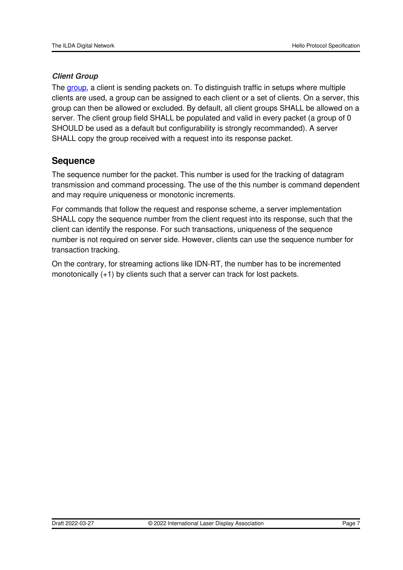#### <span id="page-6-1"></span>*Client Group*

The [group,](#page-8-0) a client is sending packets on. To distinguish traffic in setups where multiple clients are used, a group can be assigned to each client or a set of clients. On a server, this group can then be allowed or excluded. By default, all client groups SHALL be allowed on a server. The client group field SHALL be populated and valid in every packet (a group of 0 SHOULD be used as a default but configurability is strongly recommanded). A server SHALL copy the group received with a request into its response packet.

#### <span id="page-6-0"></span>**Sequence**

The sequence number for the packet. This number is used for the tracking of datagram transmission and command processing. The use of the this number is command dependent and may require uniqueness or monotonic increments.

For commands that follow the request and response scheme, a server implementation SHALL copy the sequence number from the client request into its response, such that the client can identify the response. For such transactions, uniqueness of the sequence number is not required on server side. However, clients can use the sequence number for transaction tracking.

On the contrary, for streaming actions like IDN-RT, the number has to be incremented monotonically (+1) by clients such that a server can track for lost packets.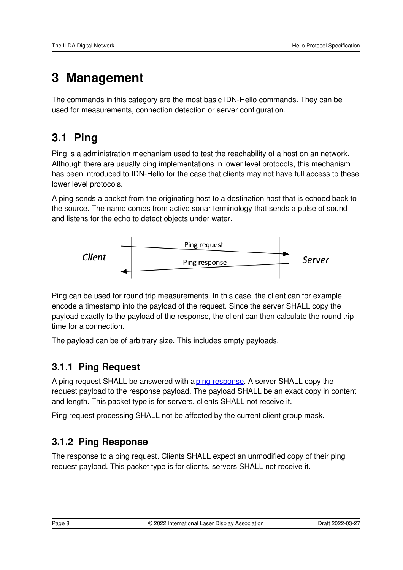# <span id="page-7-0"></span>**3 Management**

The commands in this category are the most basic IDN-Hello commands. They can be used for measurements, connection detection or server configuration.

# <span id="page-7-1"></span>**3.1 Ping**

Ping is a administration mechanism used to test the reachability of a host on an network. Although there are usually ping implementations in lower level protocols, this mechanism has been introduced to IDN-Hello for the case that clients may not have full access to these lower level protocols.

A ping sends a packet from the originating host to a destination host that is echoed back to the source. The name comes from active sonar terminology that sends a pulse of sound and listens for the echo to detect objects under water.



Ping can be used for round trip measurements. In this case, the client can for example encode a timestamp into the payload of the request. Since the server SHALL copy the payload exactly to the payload of the response, the client can then calculate the round trip time for a connection.

The payload can be of arbitrary size. This includes empty payloads.

# <span id="page-7-2"></span>**3.1.1 Ping Request**

A ping request SHALL be answered with a ping [response](#page-7-3). A server SHALL copy the request payload to the response payload. The payload SHALL be an exact copy in content and length. This packet type is for servers, clients SHALL not receive it.

Ping request processing SHALL not be affected by the current client group mask.

# <span id="page-7-3"></span>**3.1.2 Ping Response**

The response to a ping request. Clients SHALL expect an unmodified copy of their ping request payload. This packet type is for clients, servers SHALL not receive it.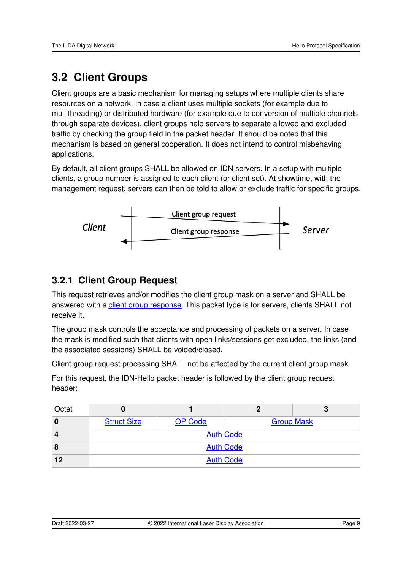# <span id="page-8-0"></span>**3.2 Client Groups**

Client groups are a basic mechanism for managing setups where multiple clients share resources on a network. In case a client uses multiple sockets (for example due to multithreading) or distributed hardware (for example due to conversion of multiple channels through separate devices), client groups help servers to separate allowed and excluded traffic by checking the group field in the packet header. It should be noted that this mechanism is based on general cooperation. It does not intend to control misbehaving applications.

By default, all client groups SHALL be allowed on IDN servers. In a setup with multiple clients, a group number is assigned to each client (or client set). At showtime, with the management request, servers can then be told to allow or exclude traffic for specific groups.



# <span id="page-8-1"></span>**3.2.1 Client Group Request**

This request retrieves and/or modifies the client group mask on a server and SHALL be answered with a client group [response.](#page-9-0) This packet type is for servers, clients SHALL not receive it.

The group mask controls the acceptance and processing of packets on a server. In case the mask is modified such that clients with open links/sessions get excluded, the links (and the associated sessions) SHALL be voided/closed.

Client group request processing SHALL not be affected by the current client group mask.

For this request, the IDN-Hello packet header is followed by the client group request header:

| Octet |                    |                |                   | w |  |
|-------|--------------------|----------------|-------------------|---|--|
|       | <b>Struct Size</b> | <b>OP Code</b> | <b>Group Mask</b> |   |  |
| 4     | <b>Auth Code</b>   |                |                   |   |  |
| 8     | <b>Auth Code</b>   |                |                   |   |  |
| 12    | <b>Auth Code</b>   |                |                   |   |  |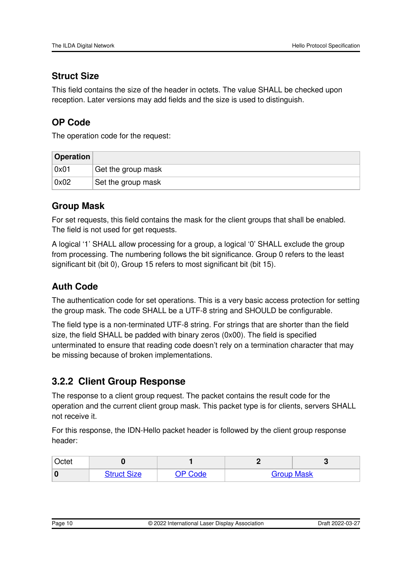### <span id="page-9-1"></span>**Struct Size**

This field contains the size of the header in octets. The value SHALL be checked upon reception. Later versions may add fields and the size is used to distinguish.

# <span id="page-9-2"></span>**OP Code**

The operation code for the request:

| Operation |                    |
|-----------|--------------------|
| 0x01      | Get the group mask |
| 0x02      | Set the group mask |

### <span id="page-9-3"></span>**Group Mask**

For set requests, this field contains the mask for the client groups that shall be enabled. The field is not used for get requests.

A logical '1' SHALL allow processing for a group, a logical '0' SHALL exclude the group from processing. The numbering follows the bit significance. Group 0 refers to the least significant bit (bit 0), Group 15 refers to most significant bit (bit 15).

# <span id="page-9-4"></span>**Auth Code**

The authentication code for set operations. This is a very basic access protection for setting the group mask. The code SHALL be a UTF-8 string and SHOULD be configurable.

The field type is a non-terminated UTF-8 string. For strings that are shorter than the field size, the field SHALL be padded with binary zeros (0x00). The field is specified unterminated to ensure that reading code doesn't rely on a termination character that may be missing because of broken implementations.

# <span id="page-9-0"></span>**3.2.2 Client Group Response**

The response to a client group request. The packet contains the result code for the operation and the current client group mask. This packet type is for clients, servers SHALL not receive it.

For this response, the IDN-Hello packet header is followed by the client group response header:

| Octet |                    |                |                   |  |
|-------|--------------------|----------------|-------------------|--|
|       | <b>Struct Size</b> | <b>OP Code</b> | <b>Group Mask</b> |  |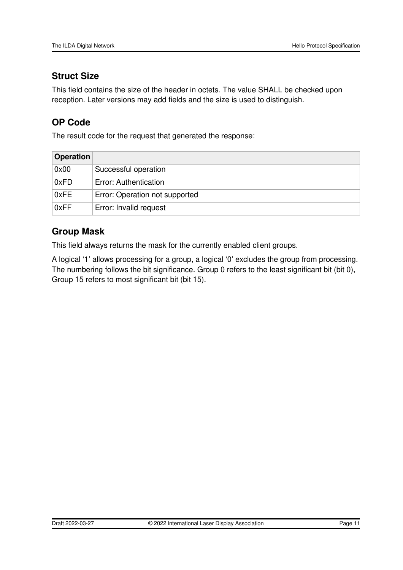### <span id="page-10-0"></span>**Struct Size**

This field contains the size of the header in octets. The value SHALL be checked upon reception. Later versions may add fields and the size is used to distinguish.

### <span id="page-10-1"></span>**OP Code**

The result code for the request that generated the response:

| <b>Operation</b> |                                |
|------------------|--------------------------------|
| 0x00             | Successful operation           |
| 0xFD             | Error: Authentication          |
| 0xFE             | Error: Operation not supported |
| 0xFF             | Error: Invalid request         |

### <span id="page-10-2"></span>**Group Mask**

This field always returns the mask for the currently enabled client groups.

A logical '1' allows processing for a group, a logical '0' excludes the group from processing. The numbering follows the bit significance. Group 0 refers to the least significant bit (bit 0), Group 15 refers to most significant bit (bit 15).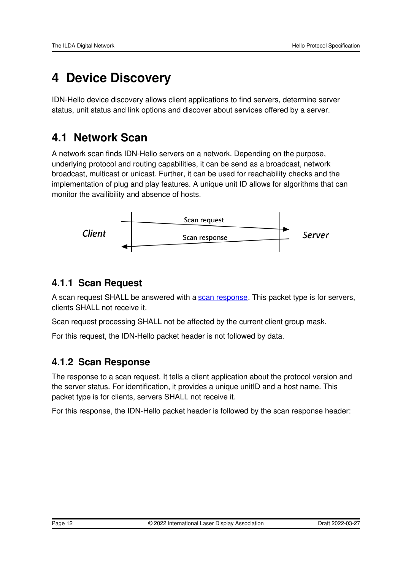# <span id="page-11-0"></span>**4 Device Discovery**

IDN-Hello device discovery allows client applications to find servers, determine server status, unit status and link options and discover about services offered by a server.

# <span id="page-11-1"></span>**4.1 Network Scan**

A network scan finds IDN-Hello servers on a network. Depending on the purpose, underlying protocol and routing capabilities, it can be send as a broadcast, network broadcast, multicast or unicast. Further, it can be used for reachability checks and the implementation of plug and play features. A unique unit ID allows for algorithms that can monitor the availibility and absence of hosts.



### <span id="page-11-2"></span>**4.1.1 Scan Request**

A scan request SHALL be answered with a scan [response](#page-11-3). This packet type is for servers, clients SHALL not receive it.

Scan request processing SHALL not be affected by the current client group mask.

For this request, the IDN-Hello packet header is not followed by data.

# <span id="page-11-3"></span>**4.1.2 Scan Response**

The response to a scan request. It tells a client application about the protocol version and the server status. For identification, it provides a unique unitID and a host name. This packet type is for clients, servers SHALL not receive it.

For this response, the IDN-Hello packet header is followed by the scan response header: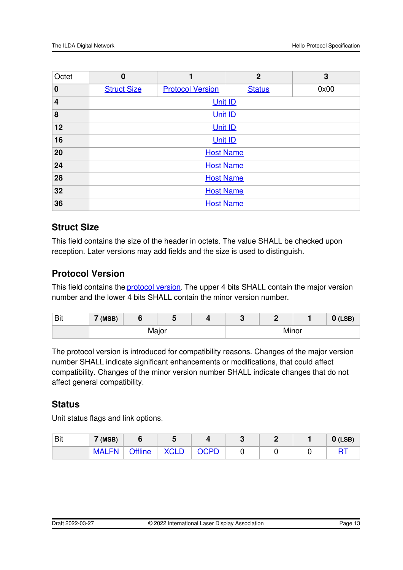| Octet          | $\bf{0}$           | 1                       | $\overline{2}$ | 3    |  |  |
|----------------|--------------------|-------------------------|----------------|------|--|--|
| $\bf{0}$       | <b>Struct Size</b> | <b>Protocol Version</b> | <b>Status</b>  | 0x00 |  |  |
| $\overline{4}$ |                    | Unit ID                 |                |      |  |  |
| 8              |                    | Unit ID                 |                |      |  |  |
| 12             |                    | Unit ID                 |                |      |  |  |
| 16             |                    | Unit ID                 |                |      |  |  |
| 20             | <b>Host Name</b>   |                         |                |      |  |  |
| 24             | <b>Host Name</b>   |                         |                |      |  |  |
| 28             | <b>Host Name</b>   |                         |                |      |  |  |
| 32             | <b>Host Name</b>   |                         |                |      |  |  |
| 36             | <b>Host Name</b>   |                         |                |      |  |  |

### <span id="page-12-0"></span>**Struct Size**

This field contains the size of the header in octets. The value SHALL be checked upon reception. Later versions may add fields and the size is used to distinguish.

### <span id="page-12-1"></span>**Protocol Version**

This field contains the **[protocol](#page-3-1) version**. The upper 4 bits SHALL contain the major version number and the lower 4 bits SHALL contain the minor version number.

| <b>Bit</b> | 7 (MSB) |  |  |       |  |  |  | $0$ (LSB) |
|------------|---------|--|--|-------|--|--|--|-----------|
|            | Major   |  |  | Minor |  |  |  |           |

The protocol version is introduced for compatibility reasons. Changes of the major version number SHALL indicate significant enhancements or modifications, that could affect compatibility. Changes of the minor version number SHALL indicate changes that do not affect general compatibility.

#### <span id="page-12-2"></span>**Status**

Unit status flags and link options.

| Bit | $\sim$<br>(MSB) |                | w |     | w |  | 'LSB) |
|-----|-----------------|----------------|---|-----|---|--|-------|
|     | <b>MAL</b>      | <b>Offline</b> |   | חחר |   |  |       |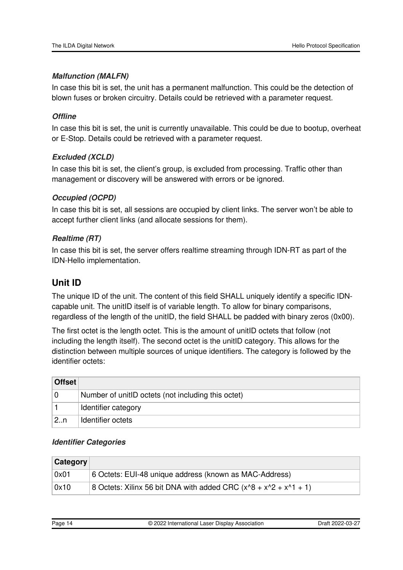#### <span id="page-13-1"></span>*Malfunction (MALFN)*

In case this bit is set, the unit has a permanent malfunction. This could be the detection of blown fuses or broken circuitry. Details could be retrieved with a parameter request.

#### <span id="page-13-2"></span>*Offline*

In case this bit is set, the unit is currently unavailable. This could be due to bootup, overheat or E-Stop. Details could be retrieved with a parameter request.

#### <span id="page-13-3"></span>*Excluded (XCLD)*

In case this bit is set, the client's group, is excluded from processing. Traffic other than management or discovery will be answered with errors or be ignored.

#### <span id="page-13-4"></span>*Occupied (OCPD)*

In case this bit is set, all sessions are occupied by client links. The server won't be able to accept further client links (and allocate sessions for them).

#### <span id="page-13-5"></span>*Realtime (RT)*

In case this bit is set, the server offers realtime streaming through IDN-RT as part of the IDN-Hello implementation.

#### <span id="page-13-0"></span>**Unit ID**

The unique ID of the unit. The content of this field SHALL uniquely identify a specific IDNcapable unit. The unitID itself is of variable length. To allow for binary comparisons, regardless of the length of the unitID, the field SHALL be padded with binary zeros (0x00).

The first octet is the length octet. This is the amount of unitID octets that follow (not including the length itself). The second octet is the unitID category. This allows for the distinction between multiple sources of unique identifiers. The category is followed by the identifier octets:

| <b>Offset</b> |                                                    |
|---------------|----------------------------------------------------|
|               | Number of unitID octets (not including this octet) |
|               | Identifier category                                |
| 2.n           | Identifier octets                                  |

#### *Identifier Categories*

| <b>Category</b> |                                                                              |
|-----------------|------------------------------------------------------------------------------|
| 0x01            | 6 Octets: EUI-48 unique address (known as MAC-Address)                       |
| 0x10            | 8 Octets: Xilinx 56 bit DNA with added CRC $(x^{6} + x^{6} + x^{6} + x^{6})$ |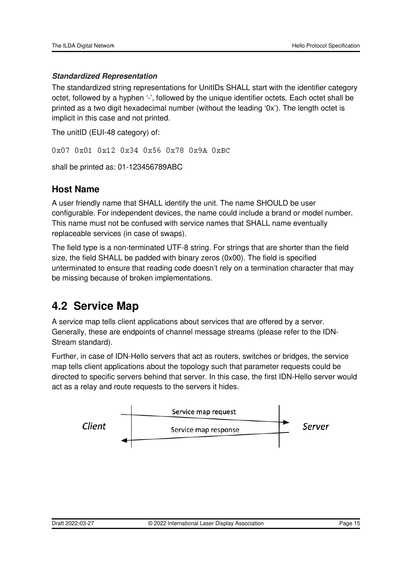#### *Standardized Representation*

The standardized string representations for UnitIDs SHALL start with the identifier category octet, followed by a hyphen '-', followed by the unique identifier octets. Each octet shall be printed as a two digit hexadecimal number (without the leading '0x'). The length octet is implicit in this case and not printed.

The unitID (EUI-48 category) of:

0x07 0x01 0x12 0x34 0x56 0x78 0x9A 0xBC

shall be printed as: 01-123456789ABC

#### <span id="page-14-1"></span>**Host Name**

A user friendly name that SHALL identify the unit. The name SHOULD be user configurable. For independent devices, the name could include a brand or model number. This name must not be confused with service names that SHALL name eventually replaceable services (in case of swaps).

The field type is a non-terminated UTF-8 string. For strings that are shorter than the field size, the field SHALL be padded with binary zeros (0x00). The field is specified unterminated to ensure that reading code doesn't rely on a termination character that may be missing because of broken implementations.

# <span id="page-14-0"></span>**4.2 Service Map**

A service map tells client applications about services that are offered by a server. Generally, these are endpoints of channel message streams (please refer to the IDN-Stream standard).

Further, in case of IDN-Hello servers that act as routers, switches or bridges, the service map tells client applications about the topology such that parameter requests could be directed to specific servers behind that server. In this case, the first IDN-Hello server would act as a relay and route requests to the servers it hides.

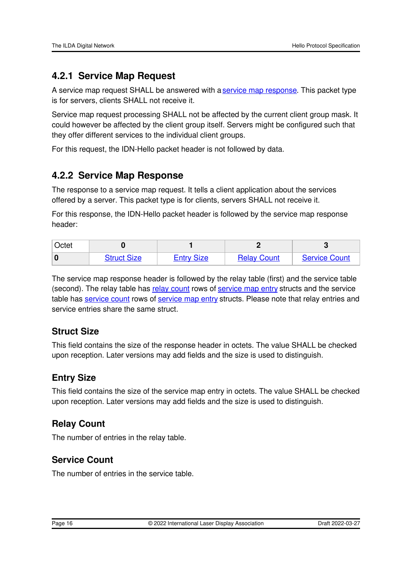### <span id="page-15-0"></span>**4.2.1 Service Map Request**

A service map request SHALL be answered with a service map [response](#page-15-1). This packet type is for servers, clients SHALL not receive it.

Service map request processing SHALL not be affected by the current client group mask. It could however be affected by the client group itself. Servers might be configured such that they offer different services to the individual client groups.

For this request, the IDN-Hello packet header is not followed by data.

### <span id="page-15-1"></span>**4.2.2 Service Map Response**

The response to a service map request. It tells a client application about the services offered by a server. This packet type is for clients, servers SHALL not receive it.

For this response, the IDN-Hello packet header is followed by the service map response header:

| <b>Octet</b> |                    |                   |                    |                      |  |
|--------------|--------------------|-------------------|--------------------|----------------------|--|
|              | <b>Struct Size</b> | <b>Entry Size</b> | <b>Relay Count</b> | <b>Service Count</b> |  |

The service map response header is followed by the relay table (first) and the service table (second). The relay table has relay [count](#page-15-4) rows of [service](#page-16-0) map entry structs and the service table has [service](#page-16-0) count rows of service map entry structs. Please note that relay entries and service entries share the same struct.

### <span id="page-15-2"></span>**Struct Size**

This field contains the size of the response header in octets. The value SHALL be checked upon reception. Later versions may add fields and the size is used to distinguish.

# <span id="page-15-3"></span>**Entry Size**

This field contains the size of the service map entry in octets. The value SHALL be checked upon reception. Later versions may add fields and the size is used to distinguish.

### <span id="page-15-4"></span>**Relay Count**

The number of entries in the relay table.

### <span id="page-15-5"></span>**Service Count**

The number of entries in the service table.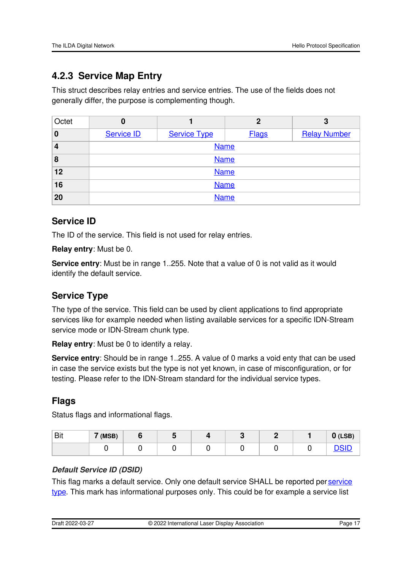# <span id="page-16-0"></span>**4.2.3 Service Map Entry**

This struct describes relay entries and service entries. The use of the fields does not generally differ, the purpose is complementing though.

| Octet |                   |                     | 2            | 3                   |  |  |  |  |
|-------|-------------------|---------------------|--------------|---------------------|--|--|--|--|
| 0     | <b>Service ID</b> | <b>Service Type</b> | <b>Flags</b> | <b>Relay Number</b> |  |  |  |  |
| 4     |                   | <b>Name</b>         |              |                     |  |  |  |  |
| 8     |                   | <b>Name</b>         |              |                     |  |  |  |  |
| 12    |                   | <b>Name</b>         |              |                     |  |  |  |  |
| 16    | <b>Name</b>       |                     |              |                     |  |  |  |  |
| 20    | <b>Name</b>       |                     |              |                     |  |  |  |  |

### <span id="page-16-1"></span>**Service ID**

The ID of the service. This field is not used for relay entries.

**Relay entry**: Must be 0.

**Service entry**: Must be in range 1..255. Note that a value of 0 is not valid as it would identify the default service.

### <span id="page-16-2"></span>**Service Type**

The type of the service. This field can be used by client applications to find appropriate services like for example needed when listing available services for a specific IDN-Stream service mode or IDN-Stream chunk type.

**Relay entry**: Must be 0 to identify a relay.

**Service entry**: Should be in range 1..255. A value of 0 marks a void enty that can be used in case the service exists but the type is not yet known, in case of misconfiguration, or for testing. Please refer to the IDN-Stream standard for the individual service types.

# <span id="page-16-3"></span>**Flags**

Status flags and informational flags.

| <b>Bit</b> | $7$ (MSB) |  | . . |  | $0$ (LSB) |
|------------|-----------|--|-----|--|-----------|
|            |           |  |     |  | ⋍⋍        |

#### <span id="page-16-4"></span>*Default Service ID (DSID)*

This flag marks a default service. Only one default service SHALL be reported per service type. This mark has [informational](#page-16-2) purposes only. This could be for example a service list

| Draft 2022-03-27 |
|------------------|
|                  |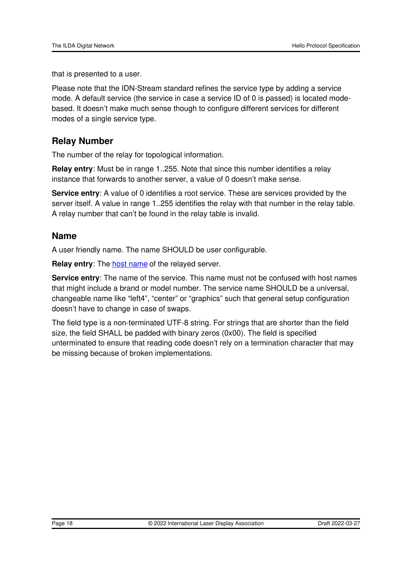that is presented to a user.

Please note that the IDN-Stream standard refines the service type by adding a service mode. A default service (the service in case a service ID of 0 is passed) is located modebased. It doesn't make much sense though to configure different services for different modes of a single service type.

#### <span id="page-17-0"></span>**Relay Number**

The number of the relay for topological information.

**Relay entry**: Must be in range 1..255. Note that since this number identifies a relay instance that forwards to another server, a value of 0 doesn't make sense.

**Service entry**: A value of 0 identifies a root service. These are services provided by the server itself. A value in range 1..255 identifies the relay with that number in the relay table. A relay number that can't be found in the relay table is invalid.

#### <span id="page-17-1"></span>**Name**

A user friendly name. The name SHOULD be user configurable.

**Relay entry:** The **host [name](#page-14-1)** of the relayed server.

**Service entry**: The name of the service. This name must not be confused with host names that might include a brand or model number. The service name SHOULD be a universal, changeable name like "left4", "center" or "graphics" such that general setup configuration doesn't have to change in case of swaps.

The field type is a non-terminated UTF-8 string. For strings that are shorter than the field size, the field SHALL be padded with binary zeros (0x00). The field is specified unterminated to ensure that reading code doesn't rely on a termination character that may be missing because of broken implementations.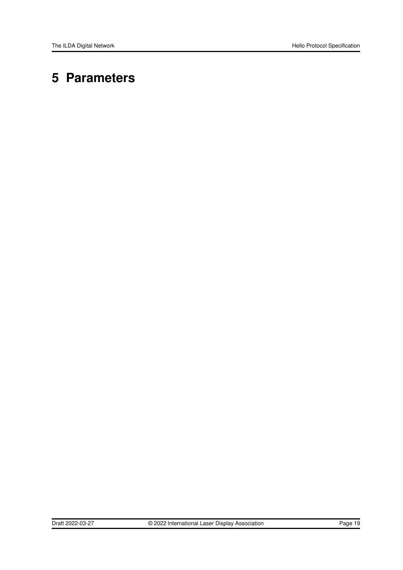# <span id="page-18-0"></span>**5 Parameters**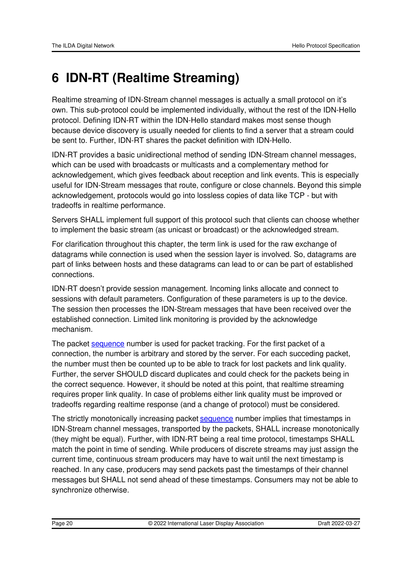# <span id="page-19-0"></span>**6 IDN-RT (Realtime Streaming)**

Realtime streaming of IDN-Stream channel messages is actually a small protocol on it's own. This sub-protocol could be implemented individually, without the rest of the IDN-Hello protocol. Defining IDN-RT within the IDN-Hello standard makes most sense though because device discovery is usually needed for clients to find a server that a stream could be sent to. Further, IDN-RT shares the packet definition with IDN-Hello.

IDN-RT provides a basic unidirectional method of sending IDN-Stream channel messages, which can be used with broadcasts or multicasts and a complementary method for acknowledgement, which gives feedback about reception and link events. This is especially useful for IDN-Stream messages that route, configure or close channels. Beyond this simple acknowledgement, protocols would go into lossless copies of data like TCP - but with tradeoffs in realtime performance.

Servers SHALL implement full support of this protocol such that clients can choose whether to implement the basic stream (as unicast or broadcast) or the acknowledged stream.

For clarification throughout this chapter, the term link is used for the raw exchange of datagrams while connection is used when the session layer is involved. So, datagrams are part of links between hosts and these datagrams can lead to or can be part of established connections.

IDN-RT doesn't provide session management. Incoming links allocate and connect to sessions with default parameters. Configuration of these parameters is up to the device. The session then processes the IDN-Stream messages that have been received over the established connection. Limited link monitoring is provided by the acknowledge mechanism.

The packet [sequence](#page-6-0) number is used for packet tracking. For the first packet of a connection, the number is arbitrary and stored by the server. For each succeding packet, the number must then be counted up to be able to track for lost packets and link quality. Further, the server SHOULD discard duplicates and could check for the packets being in the correct sequence. However, it should be noted at this point, that realtime streaming requires proper link quality. In case of problems either link quality must be improved or tradeoffs regarding realtime response (and a change of protocol) must be considered.

The strictly monotonically increasing packet [sequence](#page-6-0) number implies that timestamps in IDN-Stream channel messages, transported by the packets, SHALL increase monotonically (they might be equal). Further, with IDN-RT being a real time protocol, timestamps SHALL match the point in time of sending. While producers of discrete streams may just assign the current time, continuous stream producers may have to wait until the next timestamp is reached. In any case, producers may send packets past the timestamps of their channel messages but SHALL not send ahead of these timestamps. Consumers may not be able to synchronize otherwise.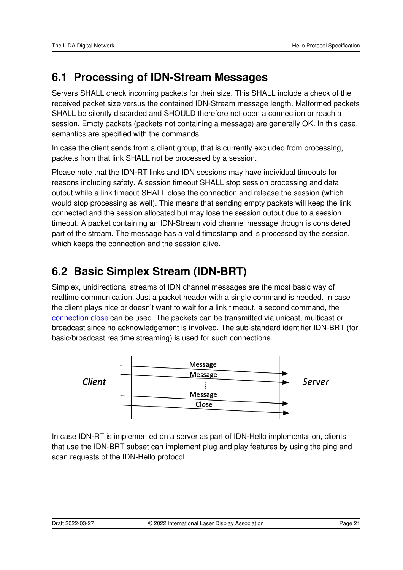# <span id="page-20-0"></span>**6.1 Processing of IDN-Stream Messages**

Servers SHALL check incoming packets for their size. This SHALL include a check of the received packet size versus the contained IDN-Stream message length. Malformed packets SHALL be silently discarded and SHOULD therefore not open a connection or reach a session. Empty packets (packets not containing a message) are generally OK. In this case, semantics are specified with the commands.

In case the client sends from a client group, that is currently excluded from processing, packets from that link SHALL not be processed by a session.

Please note that the IDN-RT links and IDN sessions may have individual timeouts for reasons including safety. A session timeout SHALL stop session processing and data output while a link timeout SHALL close the connection and release the session (which would stop processing as well). This means that sending empty packets will keep the link connected and the session allocated but may lose the session output due to a session timeout. A packet containing an IDN-Stream void channel message though is considered part of the stream. The message has a valid timestamp and is processed by the session, which keeps the connection and the session alive.

# <span id="page-20-1"></span>**6.2 Basic Simplex Stream (IDN-BRT)**

Simplex, unidirectional streams of IDN channel messages are the most basic way of realtime communication. Just a packet header with a single command is needed. In case the client plays nice or doesn't want to wait for a link timeout, a second command, the [connection](#page-21-1) close can be used. The packets can be transmitted via unicast, multicast or broadcast since no acknowledgement is involved. The sub-standard identifier IDN-BRT (for basic/broadcast realtime streaming) is used for such connections.



In case IDN-RT is implemented on a server as part of IDN-Hello implementation, clients that use the IDN-BRT subset can implement plug and play features by using the ping and scan requests of the IDN-Hello protocol.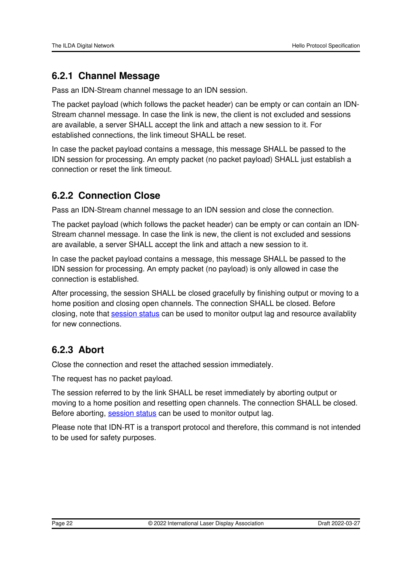# <span id="page-21-0"></span>**6.2.1 Channel Message**

Pass an IDN-Stream channel message to an IDN session.

The packet payload (which follows the packet header) can be empty or can contain an IDN-Stream channel message. In case the link is new, the client is not excluded and sessions are available, a server SHALL accept the link and attach a new session to it. For established connections, the link timeout SHALL be reset.

In case the packet payload contains a message, this message SHALL be passed to the IDN session for processing. An empty packet (no packet payload) SHALL just establish a connection or reset the link timeout.

# <span id="page-21-1"></span>**6.2.2 Connection Close**

Pass an IDN-Stream channel message to an IDN session and close the connection.

The packet payload (which follows the packet header) can be empty or can contain an IDN-Stream channel message. In case the link is new, the client is not excluded and sessions are available, a server SHALL accept the link and attach a new session to it.

In case the packet payload contains a message, this message SHALL be passed to the IDN session for processing. An empty packet (no payload) is only allowed in case the connection is established.

After processing, the session SHALL be closed gracefully by finishing output or moving to a home position and closing open channels. The connection SHALL be closed. Before closing, note that [session](#page-29-0) status can be used to monitor output lag and resource availablity for new connections.

# <span id="page-21-2"></span>**6.2.3 Abort**

Close the connection and reset the attached session immediately.

The request has no packet payload.

The session referred to by the link SHALL be reset immediately by aborting output or moving to a home position and resetting open channels. The connection SHALL be closed. Before aborting, [session](#page-29-0) status can be used to monitor output lag.

Please note that IDN-RT is a transport protocol and therefore, this command is not intended to be used for safety purposes.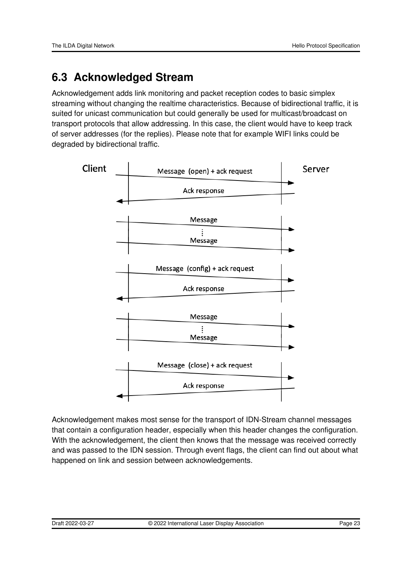# <span id="page-22-0"></span>**6.3 Acknowledged Stream**

Acknowledgement adds link monitoring and packet reception codes to basic simplex streaming without changing the realtime characteristics. Because of bidirectional traffic, it is suited for unicast communication but could generally be used for multicast/broadcast on transport protocols that allow addressing. In this case, the client would have to keep track of server addresses (for the replies). Please note that for example WIFI links could be degraded by bidirectional traffic.



Acknowledgement makes most sense for the transport of IDN-Stream channel messages that contain a configuration header, especially when this header changes the configuration. With the acknowledgement, the client then knows that the message was received correctly and was passed to the IDN session. Through event flags, the client can find out about what happened on link and session between acknowledgements.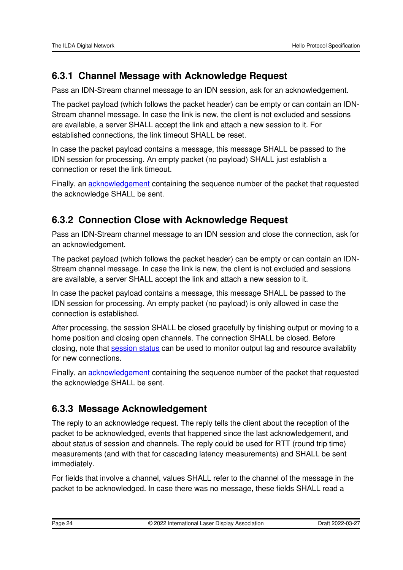### <span id="page-23-0"></span>**6.3.1 Channel Message with Acknowledge Request**

Pass an IDN-Stream channel message to an IDN session, ask for an acknowledgement.

The packet payload (which follows the packet header) can be empty or can contain an IDN-Stream channel message. In case the link is new, the client is not excluded and sessions are available, a server SHALL accept the link and attach a new session to it. For established connections, the link timeout SHALL be reset.

In case the packet payload contains a message, this message SHALL be passed to the IDN session for processing. An empty packet (no payload) SHALL just establish a connection or reset the link timeout.

Finally, an [acknowledgement](#page-23-2) containing the sequence number of the packet that requested the acknowledge SHALL be sent.

# <span id="page-23-1"></span>**6.3.2 Connection Close with Acknowledge Request**

Pass an IDN-Stream channel message to an IDN session and close the connection, ask for an acknowledgement.

The packet payload (which follows the packet header) can be empty or can contain an IDN-Stream channel message. In case the link is new, the client is not excluded and sessions are available, a server SHALL accept the link and attach a new session to it.

In case the packet payload contains a message, this message SHALL be passed to the IDN session for processing. An empty packet (no payload) is only allowed in case the connection is established.

After processing, the session SHALL be closed gracefully by finishing output or moving to a home position and closing open channels. The connection SHALL be closed. Before closing, note that [session](#page-29-0) status can be used to monitor output lag and resource availablity for new connections.

Finally, an [acknowledgement](#page-23-2) containing the sequence number of the packet that requested the acknowledge SHALL be sent.

# <span id="page-23-2"></span>**6.3.3 Message Acknowledgement**

The reply to an acknowledge request. The reply tells the client about the reception of the packet to be acknowledged, events that happened since the last acknowledgement, and about status of session and channels. The reply could be used for RTT (round trip time) measurements (and with that for cascading latency measurements) and SHALL be sent immediately.

For fields that involve a channel, values SHALL refer to the channel of the message in the packet to be acknowledged. In case there was no message, these fields SHALL read a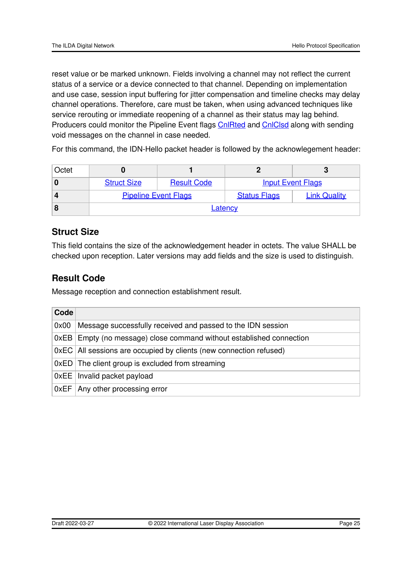reset value or be marked unknown. Fields involving a channel may not reflect the current status of a service or a device connected to that channel. Depending on implementation and use case, session input buffering for jitter compensation and timeline checks may delay channel operations. Therefore, care must be taken, when using advanced techniques like service rerouting or immediate reopening of a channel as their status may lag behind. Producers could monitor the Pipeline Event flags [CnlRted](#page-29-1) and [CnlClsd](#page-29-2) along with sending void messages on the channel in case needed.

For this command, the IDN-Hello packet header is followed by the acknowlegement header:

| Octet |                             |                    |                          |                     |  |  |
|-------|-----------------------------|--------------------|--------------------------|---------------------|--|--|
|       | <b>Struct Size</b>          | <b>Result Code</b> | <b>Input Event Flags</b> |                     |  |  |
|       | <b>Pipeline Event Flags</b> |                    | <b>Status Flags</b>      | <b>Link Quality</b> |  |  |
|       | Latency                     |                    |                          |                     |  |  |

#### <span id="page-24-0"></span>**Struct Size**

This field contains the size of the acknowledgement header in octets. The value SHALL be checked upon reception. Later versions may add fields and the size is used to distinguish.

### <span id="page-24-1"></span>**Result Code**

Message reception and connection establishment result.

| Code |                                                                        |
|------|------------------------------------------------------------------------|
| 0x00 | Message successfully received and passed to the IDN session            |
|      | $0xEB$ Empty (no message) close command without established connection |
|      | 0xEC All sessions are occupied by clients (new connection refused)     |
|      | 0xED The client group is excluded from streaming                       |
|      | 0xEE   Invalid packet payload                                          |
|      | 0xEF   Any other processing error                                      |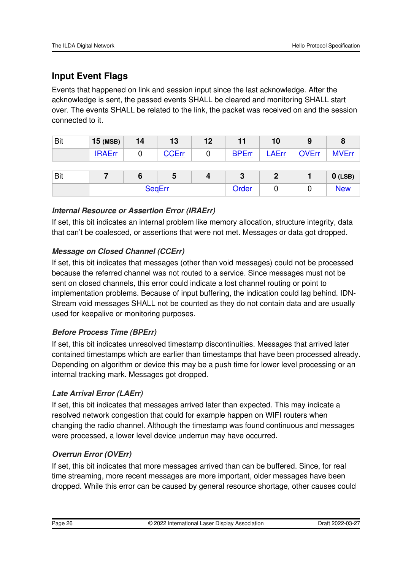### <span id="page-25-0"></span>**Input Event Flags**

Events that happened on link and session input since the last acknowledge. After the acknowledge is sent, the passed events SHALL be cleared and monitoring SHALL start over. The events SHALL be related to the link, the packet was received on and the session connected to it.

| <b>Bit</b> | <b>15 (MSB)</b> | 14 | 13           | 12 | 11           | 10           | 9            | 8            |
|------------|-----------------|----|--------------|----|--------------|--------------|--------------|--------------|
|            | <b>IRAErr</b>   |    | <b>CCErr</b> |    | <b>BPErr</b> | <b>LAErr</b> | <b>OVErr</b> | <b>MVErr</b> |
|            |                 |    |              |    |              |              |              |              |
| Bit        |                 | 6  | 5            |    | З            | 2            |              | $0$ (LSB)    |
|            | <b>SeqErr</b>   |    |              |    | Order        |              |              | <b>New</b>   |

#### <span id="page-25-1"></span>*Internal Resource or Assertion Error (IRAErr)*

If set, this bit indicates an internal problem like memory allocation, structure integrity, data that can't be coalesced, or assertions that were not met. Messages or data got dropped.

#### <span id="page-25-2"></span>*Message on Closed Channel (CCErr)*

If set, this bit indicates that messages (other than void messages) could not be processed because the referred channel was not routed to a service. Since messages must not be sent on closed channels, this error could indicate a lost channel routing or point to implementation problems. Because of input buffering, the indication could lag behind. IDN-Stream void messages SHALL not be counted as they do not contain data and are usually used for keepalive or monitoring purposes.

#### <span id="page-25-3"></span>*Before Process Time (BPErr)*

If set, this bit indicates unresolved timestamp discontinuities. Messages that arrived later contained timestamps which are earlier than timestamps that have been processed already. Depending on algorithm or device this may be a push time for lower level processing or an internal tracking mark. Messages got dropped.

#### <span id="page-25-4"></span>*Late Arrival Error (LAErr)*

If set, this bit indicates that messages arrived later than expected. This may indicate a resolved network congestion that could for example happen on WIFI routers when changing the radio channel. Although the timestamp was found continuous and messages were processed, a lower level device underrun may have occurred.

#### <span id="page-25-5"></span>*Overrun Error (OVErr)*

If set, this bit indicates that more messages arrived than can be buffered. Since, for real time streaming, more recent messages are more important, older messages have been dropped. While this error can be caused by general resource shortage, other causes could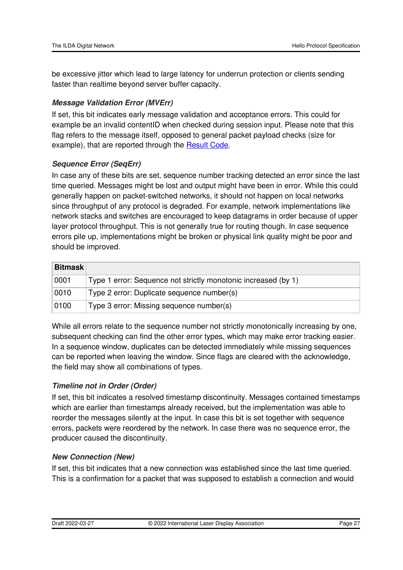be excessive jitter which lead to large latency for underrun protection or clients sending faster than realtime beyond server buffer capacity.

#### <span id="page-26-0"></span>*Message Validation Error (MVErr)*

If set, this bit indicates early message validation and acceptance errors. This could for example be an invalid contentID when checked during session input. Please note that this flag refers to the message itself, opposed to general packet payload checks (size for example), that are reported through the [Result](#page-24-1) Code.

#### <span id="page-26-1"></span>*Sequence Error (SeqErr)*

In case any of these bits are set, sequence number tracking detected an error since the last time queried. Messages might be lost and output might have been in error. While this could generally happen on packet-switched networks, it should not happen on local networks since throughput of any protocol is degraded. For example, network implementations like network stacks and switches are encouraged to keep datagrams in order because of upper layer protocol throughput. This is not generally true for routing though. In case sequence errors pile up, implementations might be broken or physical link quality might be poor and should be improved.

| <b>Bitmask</b> |                                                                |
|----------------|----------------------------------------------------------------|
| 0001           | Type 1 error: Sequence not strictly monotonic increased (by 1) |
| 0010           | Type 2 error: Duplicate sequence number(s)                     |
| 0100           | Type 3 error: Missing sequence number(s)                       |

While all errors relate to the sequence number not strictly monotonically increasing by one, subsequent checking can find the other error types, which may make error tracking easier. In a sequence window, duplicates can be detected immediately while missing sequences can be reported when leaving the window. Since flags are cleared with the acknowledge, the field may show all combinations of types.

#### <span id="page-26-2"></span>*Timeline not in Order (Order)*

If set, this bit indicates a resolved timestamp discontinuity. Messages contained timestamps which are earlier than timestamps already received, but the implementation was able to reorder the messages silently at the input. In case this bit is set together with sequence errors, packets were reordered by the network. In case there was no sequence error, the producer caused the discontinuity.

#### <span id="page-26-3"></span>*New Connection (New)*

If set, this bit indicates that a new connection was established since the last time queried. This is a confirmation for a packet that was supposed to establish a connection and would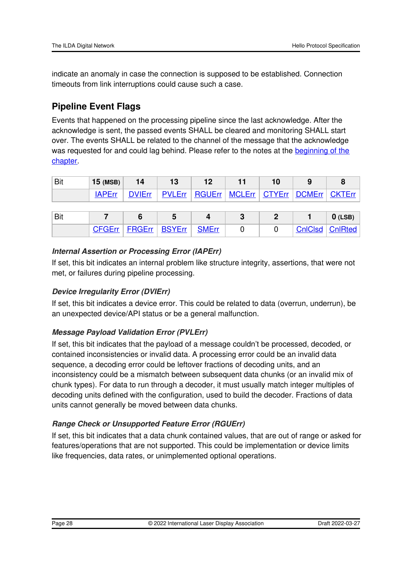indicate an anomaly in case the connection is supposed to be established. Connection timeouts from link interruptions could cause such a case.

### <span id="page-27-0"></span>**Pipeline Event Flags**

Events that happened on the processing pipeline since the last acknowledge. After the acknowledge is sent, the passed events SHALL be cleared and monitoring SHALL start over. The events SHALL be related to the channel of the message that the acknowledge was [requested](#page-23-2) for and could lag behind. Please refer to the notes at the beginning of the chapter.

| ∣Bit | $15$ (MSB)    |  |                                                              |  |  |
|------|---------------|--|--------------------------------------------------------------|--|--|
|      | <b>IAPErr</b> |  | DVIErr   PVLErr   RGUErr   MCLErr   CTYErr   DCMErr   CKTErr |  |  |

| Bit |               |                 |              |  | $0$ (LSB)                |
|-----|---------------|-----------------|--------------|--|--------------------------|
|     | <b>CFGErr</b> | FRGErr   BSYErr | <b>SMErr</b> |  | <b>CnlClsd   CnlRted</b> |

#### <span id="page-27-1"></span>*Internal Assertion or Processing Error (IAPErr)*

If set, this bit indicates an internal problem like structure integrity, assertions, that were not met, or failures during pipeline processing.

#### <span id="page-27-2"></span>*Device Irregularity Error (DVIErr)*

If set, this bit indicates a device error. This could be related to data (overrun, underrun), be an unexpected device/API status or be a general malfunction.

#### <span id="page-27-3"></span>*Message Payload Validation Error (PVLErr)*

If set, this bit indicates that the payload of a message couldn't be processed, decoded, or contained inconsistencies or invalid data. A processing error could be an invalid data sequence, a decoding error could be leftover fractions of decoding units, and an inconsistency could be a mismatch between subsequent data chunks (or an invalid mix of chunk types). For data to run through a decoder, it must usually match integer multiples of decoding units defined with the configuration, used to build the decoder. Fractions of data units cannot generally be moved between data chunks.

#### <span id="page-27-4"></span>*Range Check or Unsupported Feature Error (RGUErr)*

If set, this bit indicates that a data chunk contained values, that are out of range or asked for features/operations that are not supported. This could be implementation or device limits like frequencies, data rates, or unimplemented optional operations.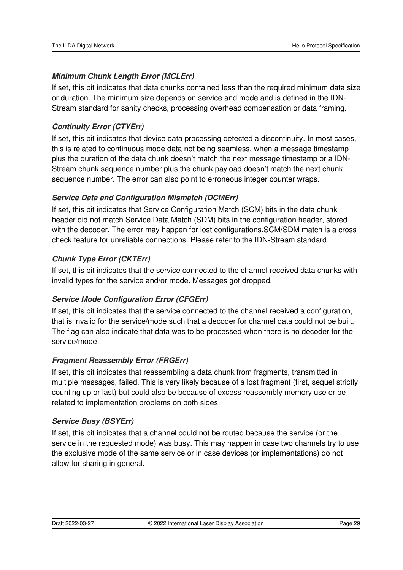#### <span id="page-28-0"></span>*Minimum Chunk Length Error (MCLErr)*

If set, this bit indicates that data chunks contained less than the required minimum data size or duration. The minimum size depends on service and mode and is defined in the IDN-Stream standard for sanity checks, processing overhead compensation or data framing.

#### <span id="page-28-1"></span>*Continuity Error (CTYErr)*

If set, this bit indicates that device data processing detected a discontinuity. In most cases, this is related to continuous mode data not being seamless, when a message timestamp plus the duration of the data chunk doesn't match the next message timestamp or a IDN-Stream chunk sequence number plus the chunk payload doesn't match the next chunk sequence number. The error can also point to erroneous integer counter wraps.

#### <span id="page-28-2"></span>*Service Data and Configuration Mismatch (DCMErr)*

If set, this bit indicates that Service Configuration Match (SCM) bits in the data chunk header did not match Service Data Match (SDM) bits in the configuration header, stored with the decoder. The error may happen for lost configurations.SCM/SDM match is a cross check feature for unreliable connections. Please refer to the IDN-Stream standard.

#### <span id="page-28-3"></span>*Chunk Type Error (CKTErr)*

If set, this bit indicates that the service connected to the channel received data chunks with invalid types for the service and/or mode. Messages got dropped.

#### <span id="page-28-4"></span>*Service Mode Configuration Error (CFGErr)*

If set, this bit indicates that the service connected to the channel received a configuration, that is invalid for the service/mode such that a decoder for channel data could not be built. The flag can also indicate that data was to be processed when there is no decoder for the service/mode.

#### <span id="page-28-5"></span>*Fragment Reassembly Error (FRGErr)*

If set, this bit indicates that reassembling a data chunk from fragments, transmitted in multiple messages, failed. This is very likely because of a lost fragment (first, sequel strictly counting up or last) but could also be because of excess reassembly memory use or be related to implementation problems on both sides.

#### <span id="page-28-6"></span>*Service Busy (BSYErr)*

If set, this bit indicates that a channel could not be routed because the service (or the service in the requested mode) was busy. This may happen in case two channels try to use the exclusive mode of the same service or in case devices (or implementations) do not allow for sharing in general.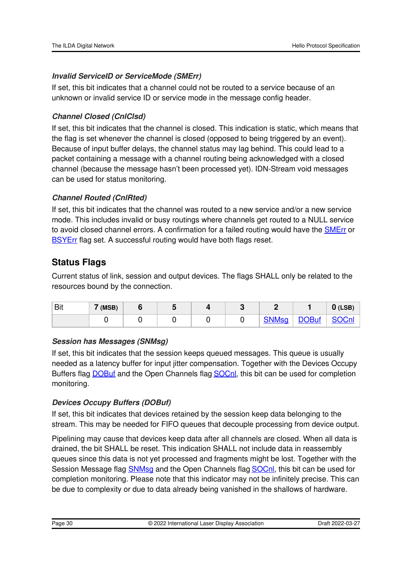#### <span id="page-29-3"></span>*Invalid ServiceID or ServiceMode (SMErr)*

If set, this bit indicates that a channel could not be routed to a service because of an unknown or invalid service ID or service mode in the message config header.

#### <span id="page-29-2"></span>*Channel Closed (CnlClsd)*

If set, this bit indicates that the channel is closed. This indication is static, which means that the flag is set whenever the channel is closed (opposed to being triggered by an event). Because of input buffer delays, the channel status may lag behind. This could lead to a packet containing a message with a channel routing being acknowledged with a closed channel (because the message hasn't been processed yet). IDN-Stream void messages can be used for status monitoring.

#### <span id="page-29-1"></span>*Channel Routed (CnlRted)*

If set, this bit indicates that the channel was routed to a new service and/or a new service mode. This includes invalid or busy routings where channels get routed to a NULL service to avoid closed channel errors. A confirmation for a failed routing would have the **[SMErr](#page-29-3)** or [BSYErr](#page-28-6) flag set. A successful routing would have both flags reset.

### <span id="page-29-0"></span>**Status Flags**

Current status of link, session and output devices. The flags SHALL only be related to the resources bound by the connection.

| Bit | 7 (MSB) |  |  |              |              | $0$ (LSB)    |
|-----|---------|--|--|--------------|--------------|--------------|
|     |         |  |  | <b>SNMsq</b> | <b>DOBuf</b> | <b>SOCnl</b> |

#### <span id="page-29-4"></span>*Session has Messages (SNMsg)*

If set, this bit indicates that the session keeps queued messages. This queue is usually needed as a latency buffer for input jitter compensation. Together with the Devices Occupy Buffers flag **[DOBuf](#page-29-5)** and the Open Channels flag **SOCnl**, this bit can be used for completion monitoring.

#### <span id="page-29-5"></span>*Devices Occupy Buffers (DOBuf)*

If set, this bit indicates that devices retained by the session keep data belonging to the stream. This may be needed for FIFO queues that decouple processing from device output.

Pipelining may cause that devices keep data after all channels are closed. When all data is drained, the bit SHALL be reset. This indication SHALL not include data in reassembly queues since this data is not yet processed and fragments might be lost. Together with the Session Message flag [SNMsg](#page-29-4) and the Open Channels flag [SOCnl](#page-30-2), this bit can be used for completion monitoring. Please note that this indicator may not be infinitely precise. This can be due to complexity or due to data already being vanished in the shallows of hardware.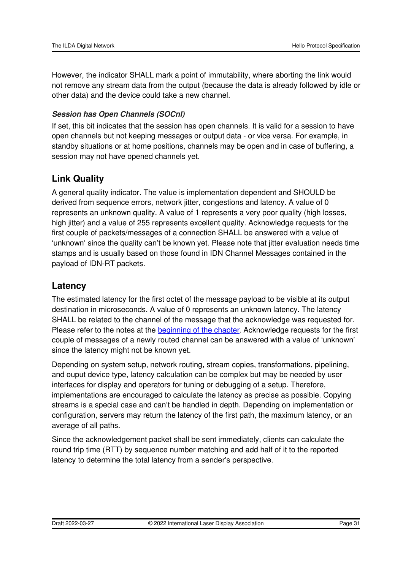However, the indicator SHALL mark a point of immutability, where aborting the link would not remove any stream data from the output (because the data is already followed by idle or other data) and the device could take a new channel.

#### <span id="page-30-2"></span>*Session has Open Channels (SOCnl)*

If set, this bit indicates that the session has open channels. It is valid for a session to have open channels but not keeping messages or output data - or vice versa. For example, in standby situations or at home positions, channels may be open and in case of buffering, a session may not have opened channels yet.

### <span id="page-30-0"></span>**Link Quality**

A general quality indicator. The value is implementation dependent and SHOULD be derived from sequence errors, network jitter, congestions and latency. A value of 0 represents an unknown quality. A value of 1 represents a very poor quality (high losses, high jitter) and a value of 255 represents excellent quality. Acknowledge requests for the first couple of packets/messages of a connection SHALL be answered with a value of 'unknown' since the quality can't be known yet. Please note that jitter evaluation needs time stamps and is usually based on those found in IDN Channel Messages contained in the payload of IDN-RT packets.

### <span id="page-30-1"></span>**Latency**

The estimated latency for the first octet of the message payload to be visible at its output destination in microseconds. A value of 0 represents an unknown latency. The latency SHALL be related to the channel of the message that the acknowledge was requested for. Please refer to the notes at the [beginning](#page-23-2) of the chapter. Acknowledge requests for the first couple of messages of a newly routed channel can be answered with a value of 'unknown' since the latency might not be known yet.

Depending on system setup, network routing, stream copies, transformations, pipelining, and ouput device type, latency calculation can be complex but may be needed by user interfaces for display and operators for tuning or debugging of a setup. Therefore, implementations are encouraged to calculate the latency as precise as possible. Copying streams is a special case and can't be handled in depth. Depending on implementation or configuration, servers may return the latency of the first path, the maximum latency, or an average of all paths.

Since the acknowledgement packet shall be sent immediately, clients can calculate the round trip time (RTT) by sequence number matching and add half of it to the reported latency to determine the total latency from a sender's perspective.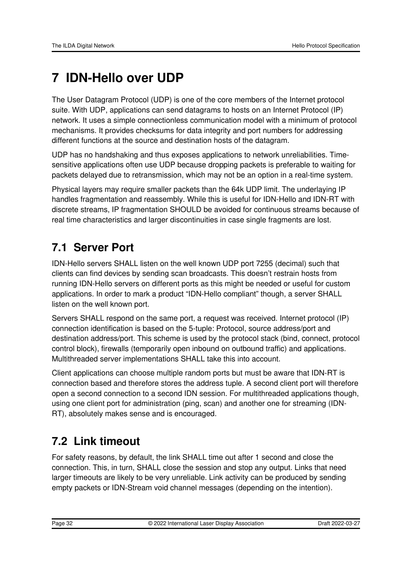# <span id="page-31-0"></span>**7 IDN-Hello over UDP**

The User Datagram Protocol (UDP) is one of the core members of the Internet protocol suite. With UDP, applications can send datagrams to hosts on an Internet Protocol (IP) network. It uses a simple connectionless communication model with a minimum of protocol mechanisms. It provides checksums for data integrity and port numbers for addressing different functions at the source and destination hosts of the datagram.

UDP has no handshaking and thus exposes applications to network unreliabilities. Timesensitive applications often use UDP because dropping packets is preferable to waiting for packets delayed due to retransmission, which may not be an option in a real-time system.

Physical layers may require smaller packets than the 64k UDP limit. The underlaying IP handles fragmentation and reassembly. While this is useful for IDN-Hello and IDN-RT with discrete streams, IP fragmentation SHOULD be avoided for continuous streams because of real time characteristics and larger discontinuities in case single fragments are lost.

# <span id="page-31-1"></span>**7.1 Server Port**

IDN-Hello servers SHALL listen on the well known UDP port 7255 (decimal) such that clients can find devices by sending scan broadcasts. This doesn't restrain hosts from running IDN-Hello servers on different ports as this might be needed or useful for custom applications. In order to mark a product "IDN-Hello compliant" though, a server SHALL listen on the well known port.

Servers SHALL respond on the same port, a request was received. Internet protocol (IP) connection identification is based on the 5-tuple: Protocol, source address/port and destination address/port. This scheme is used by the protocol stack (bind, connect, protocol control block), firewalls (temporarily open inbound on outbound traffic) and applications. Multithreaded server implementations SHALL take this into account.

Client applications can choose multiple random ports but must be aware that IDN-RT is connection based and therefore stores the address tuple. A second client port will therefore open a second connection to a second IDN session. For multithreaded applications though, using one client port for administration (ping, scan) and another one for streaming (IDN-RT), absolutely makes sense and is encouraged.

# <span id="page-31-2"></span>**7.2 Link timeout**

For safety reasons, by default, the link SHALL time out after 1 second and close the connection. This, in turn, SHALL close the session and stop any output. Links that need larger timeouts are likely to be very unreliable. Link activity can be produced by sending empty packets or IDN-Stream void channel messages (depending on the intention).